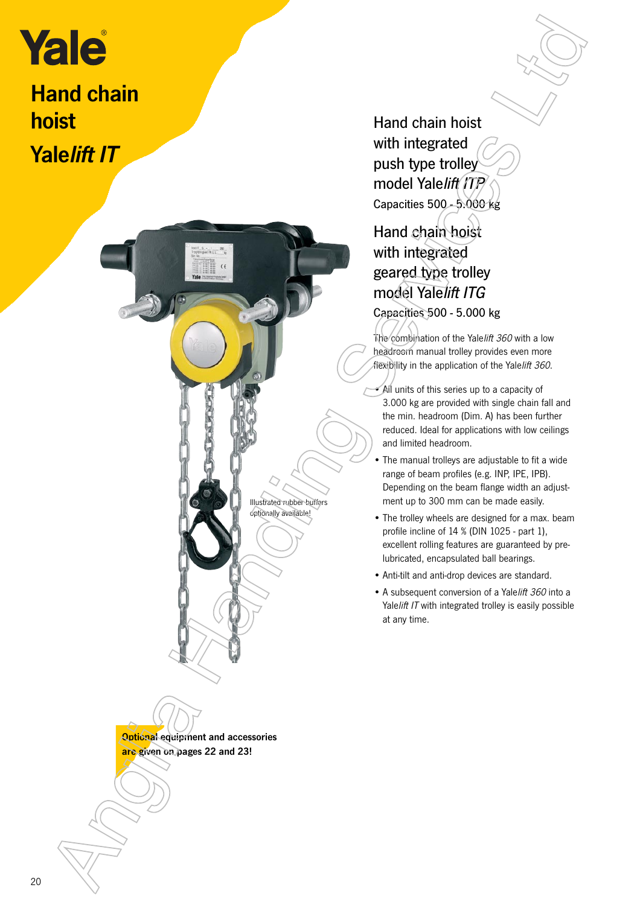# **Hand chain**

hoist Yalelift IT



Hand chain hoist with integrated push type trolley model Yalelift ITP Capacities 500-5.000 kg

## Hand chain hoist with integrated geared type trolley model Yalelift ITG Capacities 500 - 5.000 kg

The combination of the Yale lift 360 with a low headroom manual trolley provides even more flexibility in the application of the Yalelift 360.

- $\bullet$  All units of this series up to a capacity of 3.000 kg are provided with single chain fall and the min. headroom (Dim. A) has been further reduced. Ideal for applications with low ceilings and limited headroom.
- The manual trolleys are adjustable to fit a wide range of beam profiles (e.g. INP, IPE, IPB). Depending on the beam flange width an adjustment up to 300 mm can be made easily.
- The trolley wheels are designed for a max. beam profile incline of 14 % (DIN 1025 - part 1), excellent rolling features are guaranteed by prelubricated, encapsulated ball bearings.
- Anti-tilt and anti-drop devices are standard.
- A subsequent conversion of a Yalelift 360 into a Yalelift IT with integrated trolley is easily possible at any time.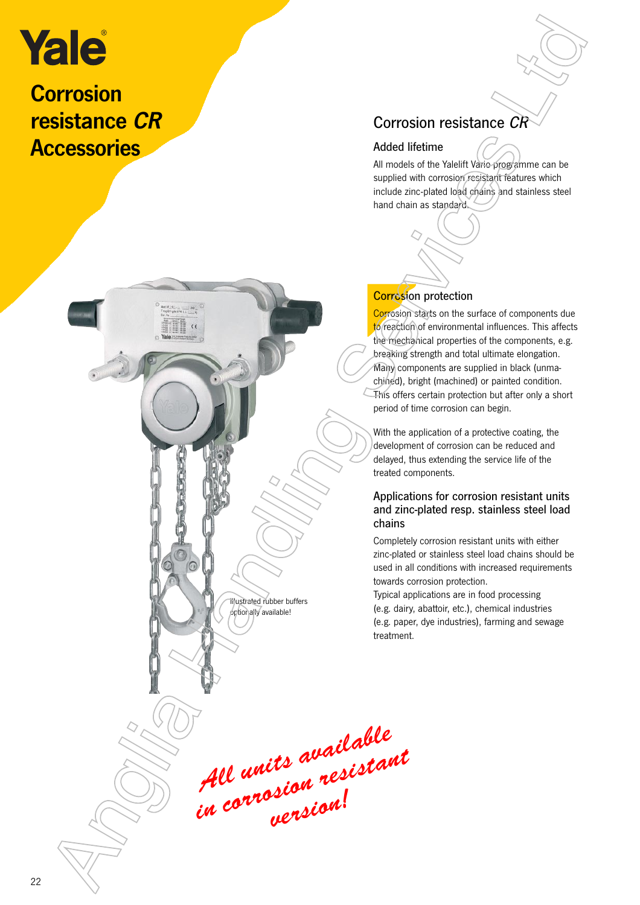## **Corrosion** resistance CR **Accessories**



#### Added lifetime

All models of the Yalelift Vario programme can be supplied with corrosion resistant features which include zinc-plated load chains and stainless steel hand chain as standard.

#### **Corrosion protection**

Corrosion starts on the surface of components due to reaction of environmental influences. This affects the mechanical properties of the components, e.g. breaking strength and total ultimate elongation. Many components are supplied in black (unmachined), bright (machined) or painted condition. This offers certain protection but after only a short period of time corrosion can begin.

With the application of a protective coating, the development of corrosion can be reduced and delayed, thus extending the service life of the treated components.

#### Applications for corrosion resistant units and zinc-plated resp. stainless steel load chains

Completely corrosion resistant units with either zinc-plated or stainless steel load chains should be used in all conditions with increased requirements towards corrosion protection.

Typical applications are in food processing (e.g. dairy, abattoir, etc.), chemical industries (e.g. paper, dye industries), farming and sewage treatment.

All units available All units avance<br>in corrosion resistant Existence CR<br>
Sistemce CR<br>
Corrosion resistance CR<br>
Adical Henne<br>
Management Corrosion resistance CR<br>
Anglia Handle Corrosion and California<br>
And Corrosion and California<br>
Corrosion and California<br>
Corrosion and California

Illustrated rubber buffers optionally available!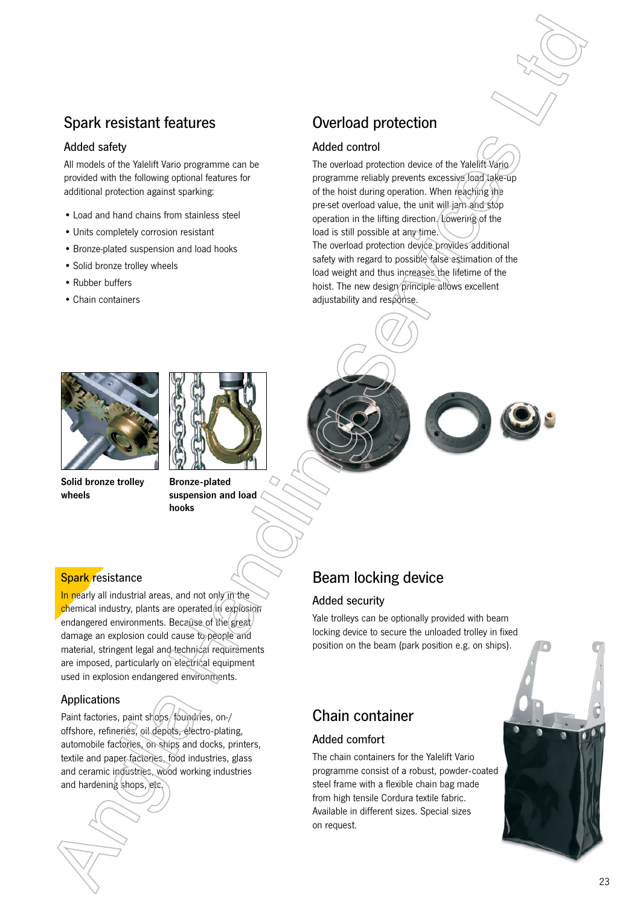#### Spark resistant features

#### Added safety

All models of the Yalelift Vario programme can be provided with the following optional features for additional protection against sparking:

- Load and hand chains from stainless steel
- Units completely corrosion resistant
- Bronze-plated suspension and load hooks
- Solid bronze trolley wheels
- Rubber buffers
- Chain containers



Solid bronze trolley wheels



# Overload protection

#### Added control

The overload protection device of the Yalelift Vario programme reliably prevents excessive load take-up of the hoist during operation. When reaching the pre-set overload value, the unit will jam and stop operation in the lifting direction. Lowering of the load is still possible at any time. The overload protection device provides additional safety with regard to possible false estimation of the load weight and thus increases the lifetime of the hoist. The new design principle allows excellent adjustability and response.



#### **Spark resistance**

In nearly all industrial areas, and not only in the chemical industry, plants are operated in explosion endangered environments. Because of the great/ damage an explosion could cause to people and material, stringent legal and technical requirements are imposed, particularly on electrical equipment used in explosion endangered environments.

#### Applications

Paint factories, paint shops, foundries, on-/ offshore, refineries, oil depots, electro-plating, automobile factories, on ships and docks, printers, textile and paper factories, food industries, glass and ceramic industries, wood working industries and hardening shops, etc.



## Beam locking device

#### Added security

Yale trolleys can be optionally provided with beam locking device to secure the unloaded trolley in fixed position on the beam (park position e.g. on ships).

#### Chain container

#### Added comfort

The chain containers for the Yalelift Vario programme consist of a robust, powder-coated steel frame with a flexible chain bag made from high tensile Cordura textile fabric. Available in different sizes. Special sizes on request.

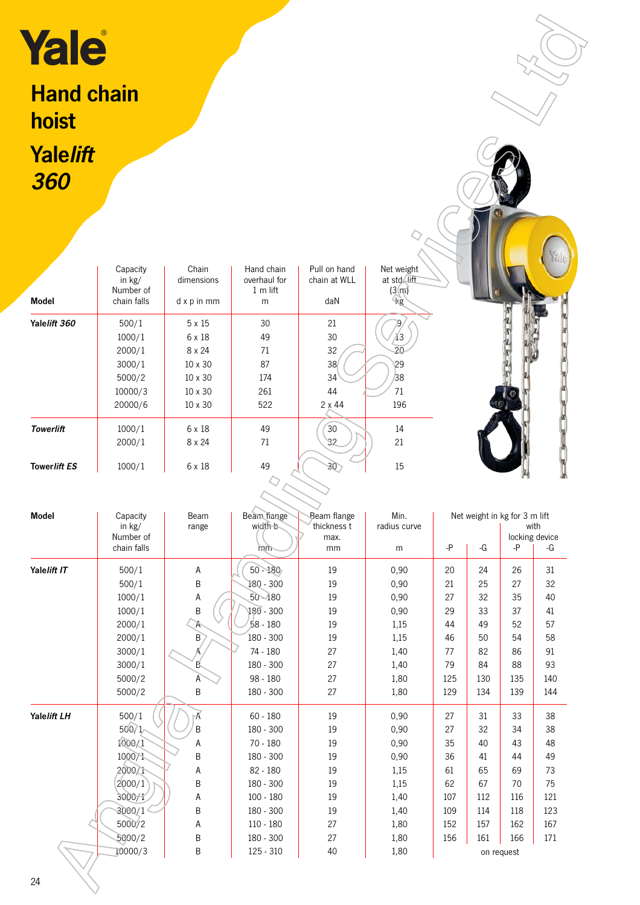# Hand chain hoist **Yalelift** 360

|              | Capacity<br>in $kg/$<br>Number of | Chain<br>dimensions | Hand chain<br>overhaul for<br>$1m$ lift | Pull on hand<br>chain at WLL | Net weight<br>at std. lift<br>(3(m)) |
|--------------|-----------------------------------|---------------------|-----------------------------------------|------------------------------|--------------------------------------|
| <b>Model</b> | chain falls                       | $dx$ p in mm        | m                                       | daN                          | kg                                   |
| Yalelift 360 | 500/1                             | 5 x 15              | 30                                      | 21                           |                                      |
|              | 1000/1                            | 6 x 18              | 49                                      | 30                           | 13                                   |
|              | 2000/1                            | 8 x 24              | 71                                      | 32                           | 20                                   |
|              | 3000/1                            | 10 x 30             | 87                                      | 38                           | 29                                   |
|              | 5000/2                            | $10 \times 30$      | 174                                     | 34                           | 38                                   |
|              | 10000/3                           | $10 \times 30$      | 261                                     | 44                           | 71                                   |
|              | 20000/6                           | $10 \times 30$      | 522                                     | $2 \times 44$                | 196                                  |
| Towerlift    | 1000/1                            | 6 x 18              | 49                                      | 30                           | 14                                   |
|              | 2000/1                            | 8 x 24              | 71                                      | 32                           | 21                                   |
| Towerlift ES | 1000/1                            | 6 x 18              | 49                                      | 30                           | 15                                   |
|              |                                   |                     |                                         |                              |                                      |



| Yale                       |                                                                     |                                                                               |                                           |                                                   |                                      |            |            |                                     |                              |
|----------------------------|---------------------------------------------------------------------|-------------------------------------------------------------------------------|-------------------------------------------|---------------------------------------------------|--------------------------------------|------------|------------|-------------------------------------|------------------------------|
| <b>Hand chain</b><br>hoist |                                                                     |                                                                               |                                           |                                                   |                                      |            |            |                                     |                              |
| <b>Yalelift</b>            |                                                                     |                                                                               |                                           |                                                   |                                      |            |            |                                     |                              |
| 360                        |                                                                     |                                                                               |                                           |                                                   |                                      |            |            |                                     |                              |
|                            |                                                                     |                                                                               |                                           |                                                   |                                      |            |            |                                     |                              |
|                            |                                                                     |                                                                               |                                           |                                                   |                                      |            |            |                                     |                              |
|                            | Capacity<br>in kg/<br>Number of                                     | Chain<br>dimensions                                                           | Hand chain<br>overhaul for<br>1 m lift    | Pull on hand<br>chain at WLL                      | Net weight<br>at std. lift<br>(3(m)) |            |            |                                     |                              |
| <b>Model</b>               | chain falls                                                         | d x p in mm                                                                   | m                                         | daN                                               | kg                                   |            |            |                                     |                              |
| Yalelift 360               | 500/1<br>1000/1<br>2000/1<br>3000/1<br>5000/2<br>10000/3<br>20000/6 | $5 \times 15$<br>6 x 18<br>8 x 24<br>10 x 30<br>10 x 30<br>10 x 30<br>10 x 30 | 30<br>49<br>71<br>87<br>174<br>261<br>522 | 21<br>30<br>32<br>38<br>34<br>44<br>$2 \times 44$ | ÁЗ<br>20<br>29<br>38<br>71<br>196    |            |            |                                     |                              |
| <b>Towerlift</b>           | 1000/1<br>2000/1                                                    | 6 x 18<br>8 x 24                                                              | 49<br>71                                  | 30<br>32                                          | 14<br>21                             |            |            |                                     |                              |
| Towerlift ES               | 1000/1                                                              | 6 x 18                                                                        | 49                                        | 30)                                               | 15                                   |            |            |                                     |                              |
|                            |                                                                     |                                                                               |                                           |                                                   |                                      |            |            |                                     |                              |
| Model                      | Capacity<br>in kg/<br>Number of<br>chain falls                      | Beam<br>range                                                                 | Beam flange<br>width b<br>mm              | Beam flange<br>thickness t<br>max.<br>mm          | Min.<br>radius curve<br>${\sf m}$    | -P         | -G         | Net weight in kg for 3 m lift<br>-P | with<br>locking device<br>-G |
| Yalelift IT                | 500/1                                                               | $\mathsf A$                                                                   | $50 - 180$                                | 19                                                | 0,90                                 | 20         | 24         | 26                                  | 31                           |
|                            | 500/1                                                               | Β                                                                             | 180 - 300                                 | 19                                                | 0,90                                 | 21         | 25         | 27                                  | 32                           |
|                            | 1000/1                                                              | A                                                                             | $50 - 180$                                | 19                                                | 0,90                                 | 27         | 32         | 35                                  | 40                           |
|                            | 1000/1                                                              | $\sf B$                                                                       | $180 - 300$                               | 19                                                | 0,90                                 | 29         | 33         | 37                                  | 41                           |
|                            | 2000/1                                                              | $\overline{\mathcal{A}}$                                                      | 58 - 180                                  | 19                                                | 1,15                                 | 44         | 49         | 52                                  | 57                           |
|                            | 2000/1                                                              | $\mathsf{B}$                                                                  | 180 - 300                                 | 19                                                | 1,15                                 | 46         | 50         | 54                                  | 58                           |
|                            | 3000/1                                                              | Ã                                                                             | 74 - 180                                  | 27                                                | 1,40                                 | 77         | 82         | 86                                  | 91                           |
|                            | 3000/1                                                              | 臥                                                                             | 180 - 300                                 | 27                                                | 1,40                                 | 79         | 84         | 88                                  | 93                           |
|                            | 5000/2<br>5000/2                                                    | A<br>$\sf B$                                                                  | 98 - 180<br>180 - 300                     | 27<br>27                                          | 1,80<br>1,80                         | 125<br>129 | 130<br>134 | 135<br>139                          | 140<br>144                   |
| Yalelift LH                | 500/1                                                               | ⊬                                                                             | $60 - 180$                                | 19                                                | 0,90                                 | 27         | 31         | 33                                  | 38                           |
|                            | 500/1                                                               | $\sf B$                                                                       | 180 - 300                                 | 19                                                | 0,90                                 | 27         | 32         | 34                                  | 38                           |
|                            | 1000/1                                                              | Α                                                                             | $70 - 180$                                | 19                                                | 0,90                                 | 35         | 40         | 43                                  | 48                           |
|                            | 1000/1                                                              | $\sf B$                                                                       | 180 - 300                                 | 19                                                | 0,90                                 | 36         | 41         | 44                                  | 49                           |
|                            | 2000/1                                                              | A                                                                             | 82 - 180                                  | 19                                                | 1,15                                 | 61         | 65         | 69                                  | 73                           |
|                            | 2000/1                                                              | $\sf B$                                                                       | 180 - 300                                 | 19                                                | 1,15                                 | 62         | 67         | 70                                  | 75                           |
|                            | 3000/1                                                              | Α                                                                             | $100 - 180$                               | 19                                                | 1,40                                 | 107        | 112        | 116                                 | 121                          |
|                            | 3000/1                                                              | $\sf B$                                                                       | 180 - 300                                 | 19                                                | 1,40                                 | 109        | 114        | 118                                 | 123                          |
|                            | 5000/2                                                              | A                                                                             | 110 - 180                                 | 27                                                | 1,80                                 | 152        | 157        | 162                                 | 167                          |
|                            | 5000/2                                                              | B                                                                             | 180 - 300                                 | 27                                                | 1,80                                 | 156        | 161        | 166                                 | 171                          |
|                            | 10000/3                                                             | $\sf B$                                                                       | 125 - 310                                 | 40                                                | 1,80                                 |            |            | on request                          |                              |
| 24                         |                                                                     |                                                                               |                                           |                                                   |                                      |            |            |                                     |                              |
|                            |                                                                     |                                                                               |                                           |                                                   |                                      |            |            |                                     |                              |